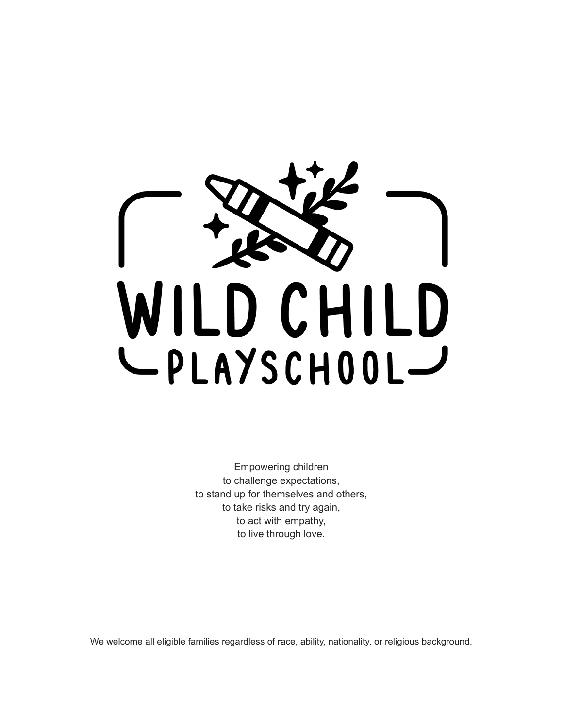

Empowering children to challenge expectations, to stand up for themselves and others, to take risks and try again, to act with empathy, to live through love.

We welcome all eligible families regardless of race, ability, nationality, or religious background.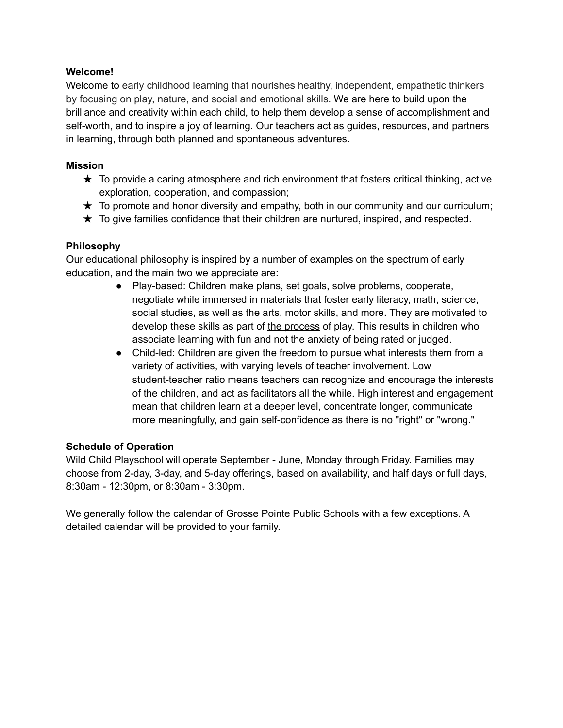#### **Welcome!**

Welcome to early childhood learning that nourishes healthy, independent, empathetic thinkers by focusing on play, nature, and social and emotional skills. We are here to build upon the brilliance and creativity within each child, to help them develop a sense of accomplishment and self-worth, and to inspire a joy of learning. Our teachers act as guides, resources, and partners in learning, through both planned and spontaneous adventures.

#### **Mission**

- $\star$  To provide a caring atmosphere and rich environment that fosters critical thinking, active exploration, cooperation, and compassion;
- $\star$  To promote and honor diversity and empathy, both in our community and our curriculum;
- $\star$  To give families confidence that their children are nurtured, inspired, and respected.

#### **Philosophy**

Our educational philosophy is inspired by a number of examples on the spectrum of early education, and the main two we appreciate are:

- Play-based: Children make plans, set goals, solve problems, cooperate, negotiate while immersed in materials that foster early literacy, math, science, social studies, as well as the arts, motor skills, and more. They are motivated to develop these skills as part of the process of play. This results in children who associate learning with fun and not the anxiety of being rated or judged.
- Child-led: Children are given the freedom to pursue what interests them from a variety of activities, with varying levels of teacher involvement. Low student-teacher ratio means teachers can recognize and encourage the interests of the children, and act as facilitators all the while. High interest and engagement mean that children learn at a deeper level, concentrate longer, communicate more meaningfully, and gain self-confidence as there is no "right" or "wrong."

#### **Schedule of Operation**

Wild Child Playschool will operate September - June, Monday through Friday. Families may choose from 2-day, 3-day, and 5-day offerings, based on availability, and half days or full days, 8:30am - 12:30pm, or 8:30am - 3:30pm.

We generally follow the calendar of Grosse Pointe Public Schools with a few exceptions. A detailed calendar will be provided to your family.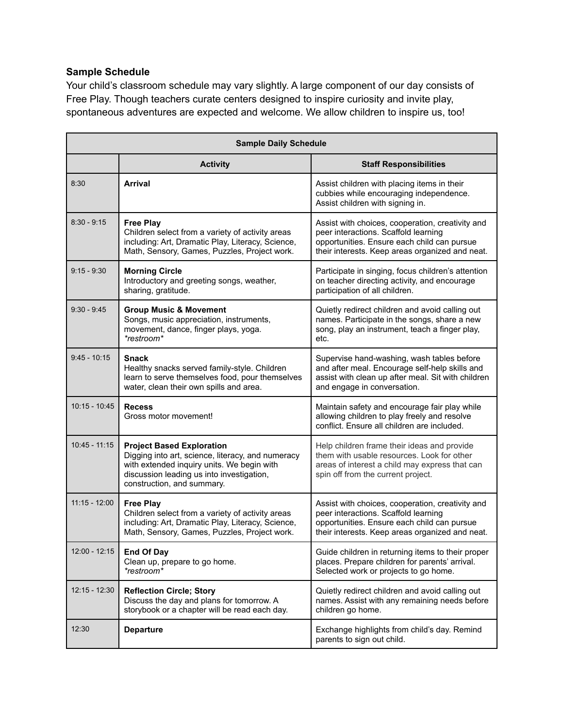# **Sample Schedule**

Your child's classroom schedule may vary slightly. A large component of our day consists of Free Play. Though teachers curate centers designed to inspire curiosity and invite play, spontaneous adventures are expected and welcome. We allow children to inspire us, too!

| <b>Sample Daily Schedule</b> |                                                                                                                                                                                                                |                                                                                                                                                                                            |  |
|------------------------------|----------------------------------------------------------------------------------------------------------------------------------------------------------------------------------------------------------------|--------------------------------------------------------------------------------------------------------------------------------------------------------------------------------------------|--|
|                              | <b>Activity</b>                                                                                                                                                                                                | <b>Staff Responsibilities</b>                                                                                                                                                              |  |
| 8:30                         | Arrival                                                                                                                                                                                                        | Assist children with placing items in their<br>cubbies while encouraging independence.<br>Assist children with signing in.                                                                 |  |
| $8:30 - 9:15$                | <b>Free Play</b><br>Children select from a variety of activity areas<br>including: Art, Dramatic Play, Literacy, Science,<br>Math, Sensory, Games, Puzzles, Project work.                                      | Assist with choices, cooperation, creativity and<br>peer interactions. Scaffold learning<br>opportunities. Ensure each child can pursue<br>their interests. Keep areas organized and neat. |  |
| $9:15 - 9:30$                | <b>Morning Circle</b><br>Introductory and greeting songs, weather,<br>sharing, gratitude.                                                                                                                      | Participate in singing, focus children's attention<br>on teacher directing activity, and encourage<br>participation of all children.                                                       |  |
| $9:30 - 9:45$                | <b>Group Music &amp; Movement</b><br>Songs, music appreciation, instruments,<br>movement, dance, finger plays, yoga.<br>*restroom*                                                                             | Quietly redirect children and avoid calling out<br>names. Participate in the songs, share a new<br>song, play an instrument, teach a finger play,<br>etc.                                  |  |
| $9:45 - 10:15$               | <b>Snack</b><br>Healthy snacks served family-style. Children<br>learn to serve themselves food, pour themselves<br>water, clean their own spills and area.                                                     | Supervise hand-washing, wash tables before<br>and after meal. Encourage self-help skills and<br>assist with clean up after meal. Sit with children<br>and engage in conversation.          |  |
| $10:15 - 10:45$              | <b>Recess</b><br>Gross motor movement!                                                                                                                                                                         | Maintain safety and encourage fair play while<br>allowing children to play freely and resolve<br>conflict. Ensure all children are included.                                               |  |
| $10:45 - 11:15$              | <b>Project Based Exploration</b><br>Digging into art, science, literacy, and numeracy<br>with extended inquiry units. We begin with<br>discussion leading us into investigation,<br>construction, and summary. | Help children frame their ideas and provide<br>them with usable resources. Look for other<br>areas of interest a child may express that can<br>spin off from the current project.          |  |
| $11:15 - 12:00$              | <b>Free Play</b><br>Children select from a variety of activity areas<br>including: Art, Dramatic Play, Literacy, Science,<br>Math, Sensory, Games, Puzzles, Project work.                                      | Assist with choices, cooperation, creativity and<br>peer interactions. Scaffold learning<br>opportunities. Ensure each child can pursue<br>their interests. Keep areas organized and neat. |  |
| 12:00 - 12:15                | <b>End Of Day</b><br>Clean up, prepare to go home.<br>*restroom*                                                                                                                                               | Guide children in returning items to their proper<br>places. Prepare children for parents' arrival.<br>Selected work or projects to go home.                                               |  |
| $12:15 - 12:30$              | <b>Reflection Circle; Story</b><br>Discuss the day and plans for tomorrow. A<br>storybook or a chapter will be read each day.                                                                                  | Quietly redirect children and avoid calling out<br>names. Assist with any remaining needs before<br>children go home.                                                                      |  |
| 12:30                        | <b>Departure</b>                                                                                                                                                                                               | Exchange highlights from child's day. Remind<br>parents to sign out child.                                                                                                                 |  |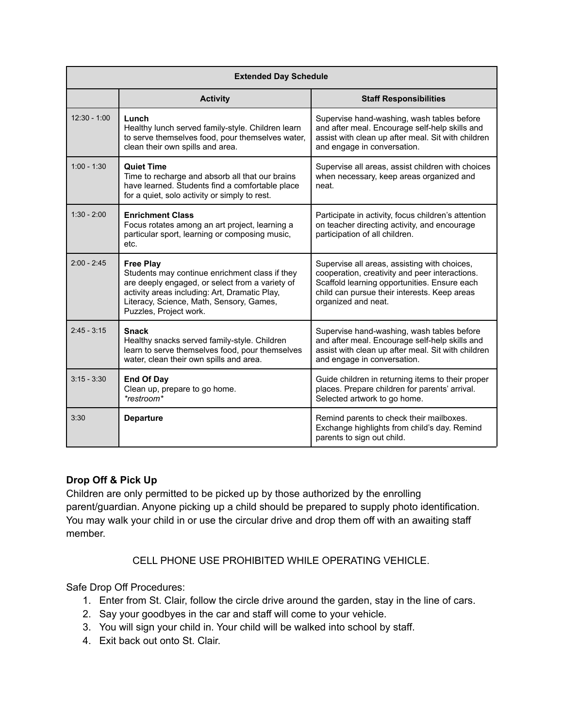| <b>Extended Day Schedule</b> |                                                                                                                                                                                                                                              |                                                                                                                                                                                                                       |  |
|------------------------------|----------------------------------------------------------------------------------------------------------------------------------------------------------------------------------------------------------------------------------------------|-----------------------------------------------------------------------------------------------------------------------------------------------------------------------------------------------------------------------|--|
|                              | <b>Activity</b>                                                                                                                                                                                                                              | <b>Staff Responsibilities</b>                                                                                                                                                                                         |  |
| $12:30 - 1:00$               | Lunch<br>Healthy lunch served family-style. Children learn<br>to serve themselves food, pour themselves water,<br>clean their own spills and area.                                                                                           | Supervise hand-washing, wash tables before<br>and after meal. Encourage self-help skills and<br>assist with clean up after meal. Sit with children<br>and engage in conversation.                                     |  |
| $1:00 - 1:30$                | <b>Quiet Time</b><br>Time to recharge and absorb all that our brains<br>have learned. Students find a comfortable place<br>for a quiet, solo activity or simply to rest.                                                                     | Supervise all areas, assist children with choices<br>when necessary, keep areas organized and<br>neat.                                                                                                                |  |
| $1:30 - 2:00$                | <b>Enrichment Class</b><br>Focus rotates among an art project, learning a<br>particular sport, learning or composing music,<br>etc.                                                                                                          | Participate in activity, focus children's attention<br>on teacher directing activity, and encourage<br>participation of all children.                                                                                 |  |
| $2.00 - 2.45$                | <b>Free Play</b><br>Students may continue enrichment class if they<br>are deeply engaged, or select from a variety of<br>activity areas including: Art, Dramatic Play,<br>Literacy, Science, Math, Sensory, Games,<br>Puzzles, Project work. | Supervise all areas, assisting with choices,<br>cooperation, creativity and peer interactions.<br>Scaffold learning opportunities. Ensure each<br>child can pursue their interests. Keep areas<br>organized and neat. |  |
| $2:45 - 3:15$                | <b>Snack</b><br>Healthy snacks served family-style. Children<br>learn to serve themselves food, pour themselves<br>water, clean their own spills and area.                                                                                   | Supervise hand-washing, wash tables before<br>and after meal. Encourage self-help skills and<br>assist with clean up after meal. Sit with children<br>and engage in conversation.                                     |  |
| $3:15 - 3:30$                | <b>End Of Day</b><br>Clean up, prepare to go home.<br>*restroom*                                                                                                                                                                             | Guide children in returning items to their proper<br>places. Prepare children for parents' arrival.<br>Selected artwork to go home.                                                                                   |  |
| 3:30                         | <b>Departure</b>                                                                                                                                                                                                                             | Remind parents to check their mailboxes.<br>Exchange highlights from child's day. Remind<br>parents to sign out child.                                                                                                |  |

## **Drop Off & Pick Up**

Children are only permitted to be picked up by those authorized by the enrolling parent/guardian. Anyone picking up a child should be prepared to supply photo identification. You may walk your child in or use the circular drive and drop them off with an awaiting staff member.

CELL PHONE USE PROHIBITED WHILE OPERATING VEHICLE.

Safe Drop Off Procedures:

- 1. Enter from St. Clair, follow the circle drive around the garden, stay in the line of cars.
- 2. Say your goodbyes in the car and staff will come to your vehicle.
- 3. You will sign your child in. Your child will be walked into school by staff.
- 4. Exit back out onto St. Clair.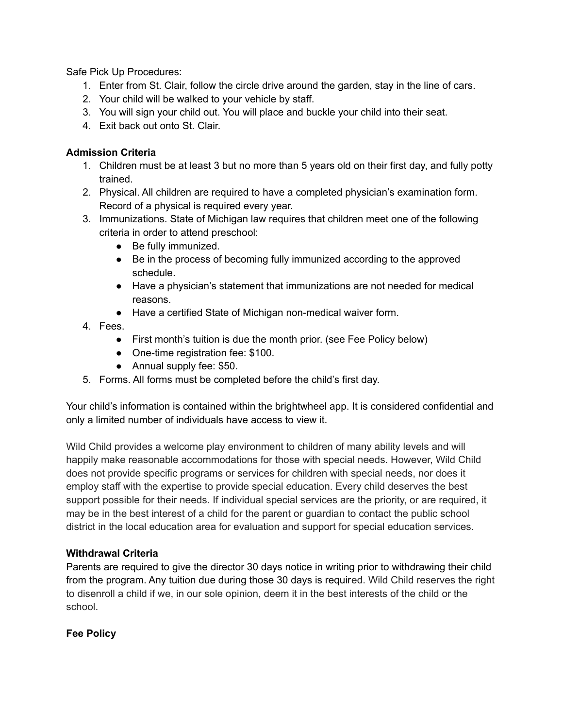Safe Pick Up Procedures:

- 1. Enter from St. Clair, follow the circle drive around the garden, stay in the line of cars.
- 2. Your child will be walked to your vehicle by staff.
- 3. You will sign your child out. You will place and buckle your child into their seat.
- 4. Exit back out onto St. Clair.

## **Admission Criteria**

- 1. Children must be at least 3 but no more than 5 years old on their first day, and fully potty trained.
- 2. Physical. All children are required to have a completed physician's examination form. Record of a physical is required every year.
- 3. Immunizations. State of Michigan law requires that children meet one of the following criteria in order to attend preschool:
	- Be fully immunized.
	- Be in the process of becoming fully immunized according to the approved schedule.
	- Have a physician's statement that immunizations are not needed for medical reasons.
	- Have a certified State of Michigan non-medical waiver form.
- 4. Fees.
	- First month's tuition is due the month prior. (see Fee Policy below)
	- One-time registration fee: \$100.
	- Annual supply fee: \$50.
- 5. Forms. All forms must be completed before the child's first day.

Your child's information is contained within the brightwheel app. It is considered confidential and only a limited number of individuals have access to view it.

Wild Child provides a welcome play environment to children of many ability levels and will happily make reasonable accommodations for those with special needs. However, Wild Child does not provide specific programs or services for children with special needs, nor does it employ staff with the expertise to provide special education. Every child deserves the best support possible for their needs. If individual special services are the priority, or are required, it may be in the best interest of a child for the parent or guardian to contact the public school district in the local education area for evaluation and support for special education services.

## **Withdrawal Criteria**

Parents are required to give the director 30 days notice in writing prior to withdrawing their child from the program. Any tuition due during those 30 days is required. Wild Child reserves the right to disenroll a child if we, in our sole opinion, deem it in the best interests of the child or the school.

## **Fee Policy**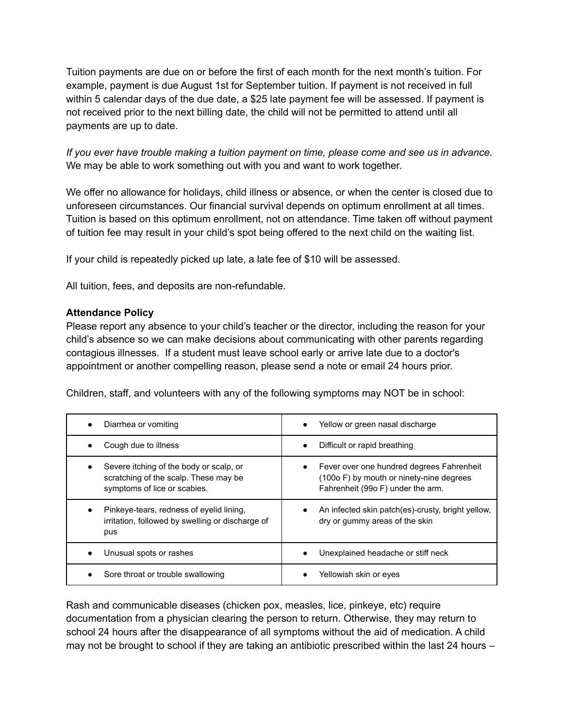Tuition payments are due on or before the first of each month for the next month's tuition. For example, payment is due August 1st for September tuition. If payment is not received in full within 5 calendar days of the due date, a \$25 late payment fee will be assessed. If payment is not received prior to the next billing date, the child will not be permitted to attend until all payments are up to date.

*If you ever have trouble making a tuition payment on time, please come and see us in advance.* We may be able to work something out with you and want to work together.

We offer no allowance for holidays, child illness or absence, or when the center is closed due to unforeseen circumstances. Our financial survival depends on optimum enrollment at all times. Tuition is based on this optimum enrollment, not on attendance. Time taken off without payment of tuition fee may result in your child's spot being offered to the next child on the waiting list.

If your child is repeatedly picked up late, a late fee of \$10 will be assessed.

All tuition, fees, and deposits are non-refundable.

#### **Attendance Policy**

Please report any absence to your child's teacher or the director, including the reason for your child's absence so we can make decisions about communicating with other parents regarding contagious illnesses. If a student must leave school early or arrive late due to a doctor's appointment or another compelling reason, please send a note or email 24 hours prior.

Children, staff, and volunteers with any of the following symptoms may NOT be in school:

| Diarrhea or vomiting                                                                                             | Yellow or green nasal discharge                                                                                            |
|------------------------------------------------------------------------------------------------------------------|----------------------------------------------------------------------------------------------------------------------------|
| Cough due to illness                                                                                             | Difficult or rapid breathing                                                                                               |
| Severe itching of the body or scalp, or<br>scratching of the scalp. These may be<br>symptoms of lice or scabies. | Fever over one hundred degrees Fahrenheit<br>(100o F) by mouth or ninety-nine degrees<br>Fahrenheit (99o F) under the arm. |
| Pinkeye-tears, redness of eyelid lining,<br>irritation, followed by swelling or discharge of<br>pus              | An infected skin patch(es)-crusty, bright yellow,<br>dry or gummy areas of the skin                                        |
| Unusual spots or rashes                                                                                          | Unexplained headache or stiff neck                                                                                         |
| Sore throat or trouble swallowing                                                                                | Yellowish skin or eyes                                                                                                     |

Rash and communicable diseases (chicken pox, measles, lice, pinkeye, etc) require documentation from a physician clearing the person to return. Otherwise, they may return to school 24 hours after the disappearance of all symptoms without the aid of medication. A child may not be brought to school if they are taking an antibiotic prescribed within the last 24 hours –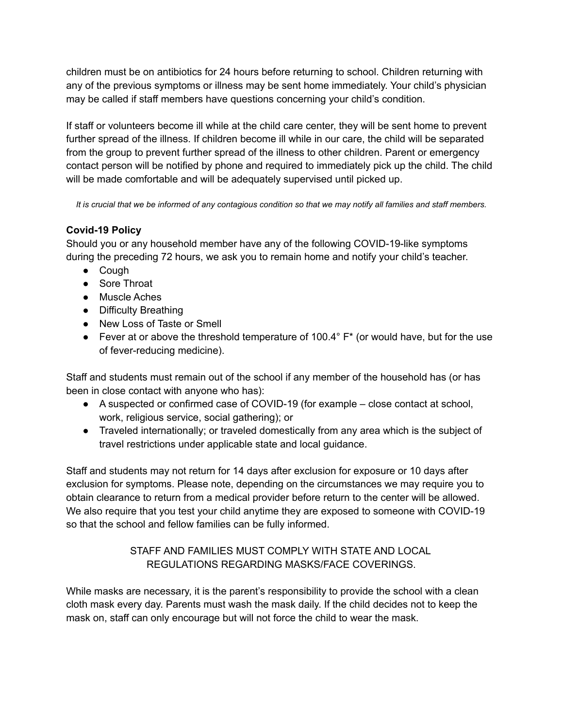children must be on antibiotics for 24 hours before returning to school. Children returning with any of the previous symptoms or illness may be sent home immediately. Your child's physician may be called if staff members have questions concerning your child's condition.

If staff or volunteers become ill while at the child care center, they will be sent home to prevent further spread of the illness. If children become ill while in our care, the child will be separated from the group to prevent further spread of the illness to other children. Parent or emergency contact person will be notified by phone and required to immediately pick up the child. The child will be made comfortable and will be adequately supervised until picked up.

*It is crucial that we be informed of any contagious condition so that we may notify all families and staff members.*

## **Covid-19 Policy**

Should you or any household member have any of the following COVID-19-like symptoms during the preceding 72 hours, we ask you to remain home and notify your child's teacher.

- Cough
- Sore Throat
- Muscle Aches
- Difficulty Breathing
- New Loss of Taste or Smell
- Fever at or above the threshold temperature of 100.4 $\degree$  F<sup>\*</sup> (or would have, but for the use of fever-reducing medicine).

Staff and students must remain out of the school if any member of the household has (or has been in close contact with anyone who has):

- A suspected or confirmed case of COVID-19 (for example close contact at school, work, religious service, social gathering); or
- Traveled internationally; or traveled domestically from any area which is the subject of travel restrictions under applicable state and local guidance.

Staff and students may not return for 14 days after exclusion for exposure or 10 days after exclusion for symptoms. Please note, depending on the circumstances we may require you to obtain clearance to return from a medical provider before return to the center will be allowed. We also require that you test your child anytime they are exposed to someone with COVID-19 so that the school and fellow families can be fully informed.

# STAFF AND FAMILIES MUST COMPLY WITH STATE AND LOCAL REGULATIONS REGARDING MASKS/FACE COVERINGS.

While masks are necessary, it is the parent's responsibility to provide the school with a clean cloth mask every day. Parents must wash the mask daily. If the child decides not to keep the mask on, staff can only encourage but will not force the child to wear the mask.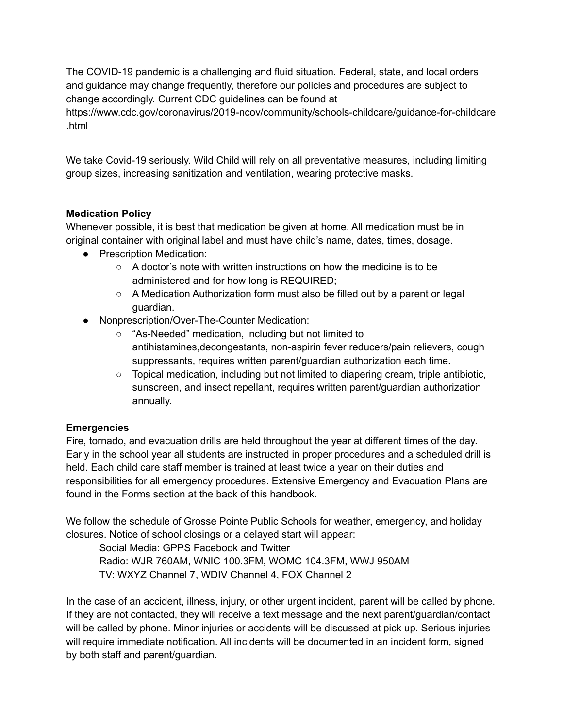The COVID-19 pandemic is a challenging and fluid situation. Federal, state, and local orders and guidance may change frequently, therefore our policies and procedures are subject to change accordingly. Current CDC guidelines can be found at

https://www.cdc.gov/coronavirus/2019-ncov/community/schools-childcare/guidance-for-childcare .html

We take Covid-19 seriously. Wild Child will rely on all preventative measures, including limiting group sizes, increasing sanitization and ventilation, wearing protective masks.

## **Medication Policy**

Whenever possible, it is best that medication be given at home. All medication must be in original container with original label and must have child's name, dates, times, dosage.

- Prescription Medication:
	- A doctor's note with written instructions on how the medicine is to be administered and for how long is REQUIRED;
	- $\circ$  A Medication Authorization form must also be filled out by a parent or legal guardian.
- Nonprescription/Over-The-Counter Medication:
	- "As-Needed" medication, including but not limited to antihistamines,decongestants, non-aspirin fever reducers/pain relievers, cough suppressants, requires written parent/guardian authorization each time.
	- Topical medication, including but not limited to diapering cream, triple antibiotic, sunscreen, and insect repellant, requires written parent/guardian authorization annually.

## **Emergencies**

Fire, tornado, and evacuation drills are held throughout the year at different times of the day. Early in the school year all students are instructed in proper procedures and a scheduled drill is held. Each child care staff member is trained at least twice a year on their duties and responsibilities for all emergency procedures. Extensive Emergency and Evacuation Plans are found in the Forms section at the back of this handbook.

We follow the schedule of Grosse Pointe Public Schools for weather, emergency, and holiday closures. Notice of school closings or a delayed start will appear:

Social Media: GPPS Facebook and Twitter Radio: WJR 760AM, WNIC 100.3FM, WOMC 104.3FM, WWJ 950AM TV: WXYZ Channel 7, WDIV Channel 4, FOX Channel 2

In the case of an accident, illness, injury, or other urgent incident, parent will be called by phone. If they are not contacted, they will receive a text message and the next parent/guardian/contact will be called by phone. Minor injuries or accidents will be discussed at pick up. Serious injuries will require immediate notification. All incidents will be documented in an incident form, signed by both staff and parent/guardian.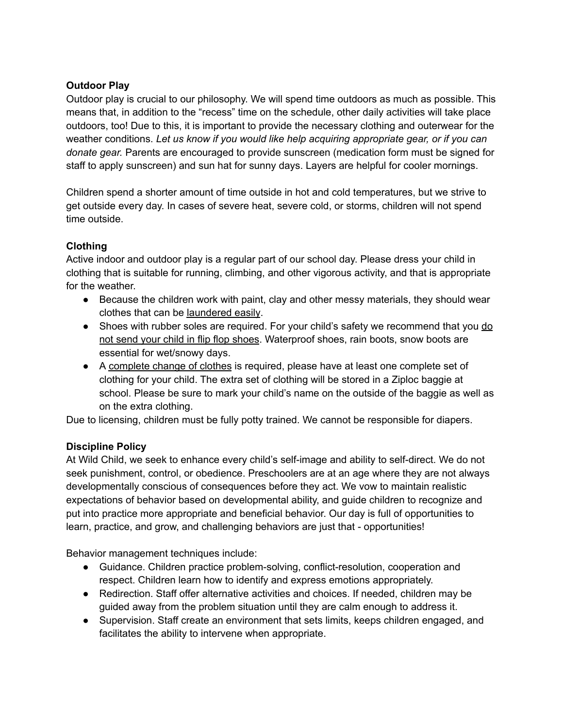## **Outdoor Play**

Outdoor play is crucial to our philosophy. We will spend time outdoors as much as possible. This means that, in addition to the "recess" time on the schedule, other daily activities will take place outdoors, too! Due to this, it is important to provide the necessary clothing and outerwear for the weather conditions. *Let us know if you would like help acquiring appropriate gear, or if you can donate gear.* Parents are encouraged to provide sunscreen (medication form must be signed for staff to apply sunscreen) and sun hat for sunny days. Layers are helpful for cooler mornings.

Children spend a shorter amount of time outside in hot and cold temperatures, but we strive to get outside every day. In cases of severe heat, severe cold, or storms, children will not spend time outside.

# **Clothing**

Active indoor and outdoor play is a regular part of our school day. Please dress your child in clothing that is suitable for running, climbing, and other vigorous activity, and that is appropriate for the weather.

- Because the children work with paint, clay and other messy materials, they should wear clothes that can be laundered easily.
- Shoes with rubber soles are required. For your child's safety we recommend that you do not send your child in flip flop shoes. Waterproof shoes, rain boots, snow boots are essential for wet/snowy days.
- A complete change of clothes is required, please have at least one complete set of clothing for your child. The extra set of clothing will be stored in a Ziploc baggie at school. Please be sure to mark your child's name on the outside of the baggie as well as on the extra clothing.

Due to licensing, children must be fully potty trained. We cannot be responsible for diapers.

## **Discipline Policy**

At Wild Child, we seek to enhance every child's self-image and ability to self-direct. We do not seek punishment, control, or obedience. Preschoolers are at an age where they are not always developmentally conscious of consequences before they act. We vow to maintain realistic expectations of behavior based on developmental ability, and guide children to recognize and put into practice more appropriate and beneficial behavior. Our day is full of opportunities to learn, practice, and grow, and challenging behaviors are just that - opportunities!

Behavior management techniques include:

- Guidance. Children practice problem-solving, conflict-resolution, cooperation and respect. Children learn how to identify and express emotions appropriately.
- Redirection. Staff offer alternative activities and choices. If needed, children may be guided away from the problem situation until they are calm enough to address it.
- Supervision. Staff create an environment that sets limits, keeps children engaged, and facilitates the ability to intervene when appropriate.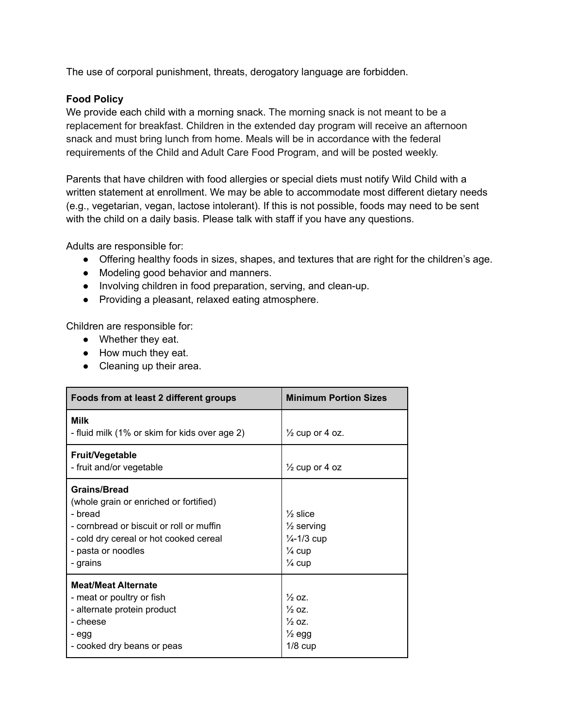The use of corporal punishment, threats, derogatory language are forbidden.

#### **Food Policy**

We provide each child with a morning snack. The morning snack is not meant to be a replacement for breakfast. Children in the extended day program will receive an afternoon snack and must bring lunch from home. Meals will be in accordance with the federal requirements of the Child and Adult Care Food Program, and will be posted weekly.

Parents that have children with food allergies or special diets must notify Wild Child with a written statement at enrollment. We may be able to accommodate most different dietary needs (e.g., vegetarian, vegan, lactose intolerant). If this is not possible, foods may need to be sent with the child on a daily basis. Please talk with staff if you have any questions.

Adults are responsible for:

- Offering healthy foods in sizes, shapes, and textures that are right for the children's age.
- Modeling good behavior and manners.
- Involving children in food preparation, serving, and clean-up.
- Providing a pleasant, relaxed eating atmosphere.

Children are responsible for:

- Whether they eat.
- How much they eat.
- Cleaning up their area.

| Foods from at least 2 different groups                                                                                                                                                           | <b>Minimum Portion Sizes</b>                                                                                              |  |
|--------------------------------------------------------------------------------------------------------------------------------------------------------------------------------------------------|---------------------------------------------------------------------------------------------------------------------------|--|
| Milk<br>- fluid milk (1% or skim for kids over age 2)                                                                                                                                            | $\frac{1}{2}$ cup or 4 oz.                                                                                                |  |
| <b>Fruit/Vegetable</b><br>- fruit and/or vegetable                                                                                                                                               | $\frac{1}{2}$ cup or 4 oz                                                                                                 |  |
| <b>Grains/Bread</b><br>(whole grain or enriched or fortified)<br>- bread<br>- cornbread or biscuit or roll or muffin<br>- cold dry cereal or hot cooked cereal<br>- pasta or noodles<br>- grains | $\frac{1}{2}$ slice<br>$\frac{1}{2}$ serving<br>$\frac{1}{4} - \frac{1}{3}$ cup<br>$\frac{1}{4}$ cup<br>$\frac{1}{4}$ cup |  |
| <b>Meat/Meat Alternate</b><br>- meat or poultry or fish<br>- alternate protein product<br>- cheese<br>- egg<br>- cooked dry beans or peas                                                        | $\frac{1}{2}$ OZ.<br>$\frac{1}{2}$ OZ.<br>$\frac{1}{2}$ oz.<br>$\frac{1}{2}$ egg<br>$1/8$ cup                             |  |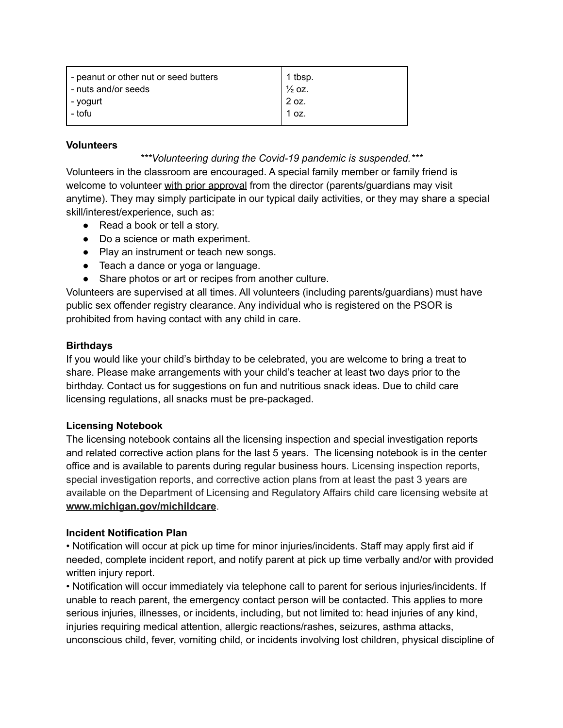| - peanut or other nut or seed butters<br>- nuts and/or seeds | 1 tbsp.<br>$\frac{1}{2}$ OZ. |
|--------------------------------------------------------------|------------------------------|
| - yogurt                                                     | 2 oz.                        |
| - tofu                                                       | 1 oz.                        |

#### **Volunteers**

*\*\*\*Volunteering during the Covid-19 pandemic is suspended.\*\*\**

Volunteers in the classroom are encouraged. A special family member or family friend is welcome to volunteer with prior approval from the director (parents/quardians may visit anytime). They may simply participate in our typical daily activities, or they may share a special skill/interest/experience, such as:

- Read a book or tell a story.
- Do a science or math experiment.
- Play an instrument or teach new songs.
- Teach a dance or yoga or language.
- Share photos or art or recipes from another culture.

Volunteers are supervised at all times. All volunteers (including parents/guardians) must have public sex offender registry clearance. Any individual who is registered on the PSOR is prohibited from having contact with any child in care.

#### **Birthdays**

If you would like your child's birthday to be celebrated, you are welcome to bring a treat to share. Please make arrangements with your child's teacher at least two days prior to the birthday. Contact us for suggestions on fun and nutritious snack ideas. Due to child care licensing regulations, all snacks must be pre-packaged.

#### **Licensing Notebook**

The licensing notebook contains all the licensing inspection and special investigation reports and related corrective action plans for the last 5 years. The licensing notebook is in the center office and is available to parents during regular business hours. Licensing inspection reports, special investigation reports, and corrective action plans from at least the past 3 years are available on the Department of Licensing and Regulatory Affairs child care licensing website at **[www.michigan.gov/michildcare](http://www.michigan.gov/michildcare)**.

## **Incident Notification Plan**

• Notification will occur at pick up time for minor injuries/incidents. Staff may apply first aid if needed, complete incident report, and notify parent at pick up time verbally and/or with provided written injury report.

• Notification will occur immediately via telephone call to parent for serious injuries/incidents. If unable to reach parent, the emergency contact person will be contacted. This applies to more serious injuries, illnesses, or incidents, including, but not limited to: head injuries of any kind, injuries requiring medical attention, allergic reactions/rashes, seizures, asthma attacks, unconscious child, fever, vomiting child, or incidents involving lost children, physical discipline of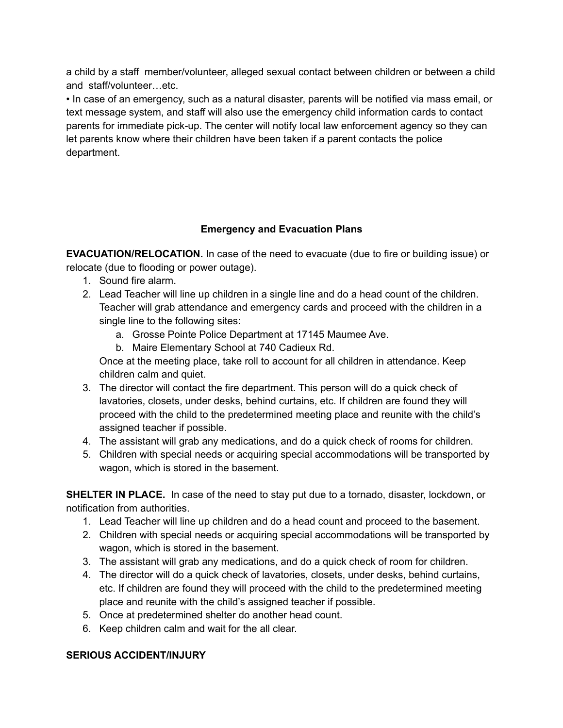a child by a staff member/volunteer, alleged sexual contact between children or between a child and staff/volunteer…etc.

• In case of an emergency, such as a natural disaster, parents will be notified via mass email, or text message system, and staff will also use the emergency child information cards to contact parents for immediate pick-up. The center will notify local law enforcement agency so they can let parents know where their children have been taken if a parent contacts the police department.

## **Emergency and Evacuation Plans**

**EVACUATION/RELOCATION.** In case of the need to evacuate (due to fire or building issue) or relocate (due to flooding or power outage).

- 1. Sound fire alarm.
- 2. Lead Teacher will line up children in a single line and do a head count of the children. Teacher will grab attendance and emergency cards and proceed with the children in a single line to the following sites:
	- a. Grosse Pointe Police Department at 17145 Maumee Ave.
	- b. Maire Elementary School at 740 Cadieux Rd.

Once at the meeting place, take roll to account for all children in attendance. Keep children calm and quiet.

- 3. The director will contact the fire department. This person will do a quick check of lavatories, closets, under desks, behind curtains, etc. If children are found they will proceed with the child to the predetermined meeting place and reunite with the child's assigned teacher if possible.
- 4. The assistant will grab any medications, and do a quick check of rooms for children.
- 5. Children with special needs or acquiring special accommodations will be transported by wagon, which is stored in the basement.

**SHELTER IN PLACE.** In case of the need to stay put due to a tornado, disaster, lockdown, or notification from authorities.

- 1. Lead Teacher will line up children and do a head count and proceed to the basement.
- 2. Children with special needs or acquiring special accommodations will be transported by wagon, which is stored in the basement.
- 3. The assistant will grab any medications, and do a quick check of room for children.
- 4. The director will do a quick check of lavatories, closets, under desks, behind curtains, etc. If children are found they will proceed with the child to the predetermined meeting place and reunite with the child's assigned teacher if possible.
- 5. Once at predetermined shelter do another head count.
- 6. Keep children calm and wait for the all clear.

## **SERIOUS ACCIDENT/INJURY**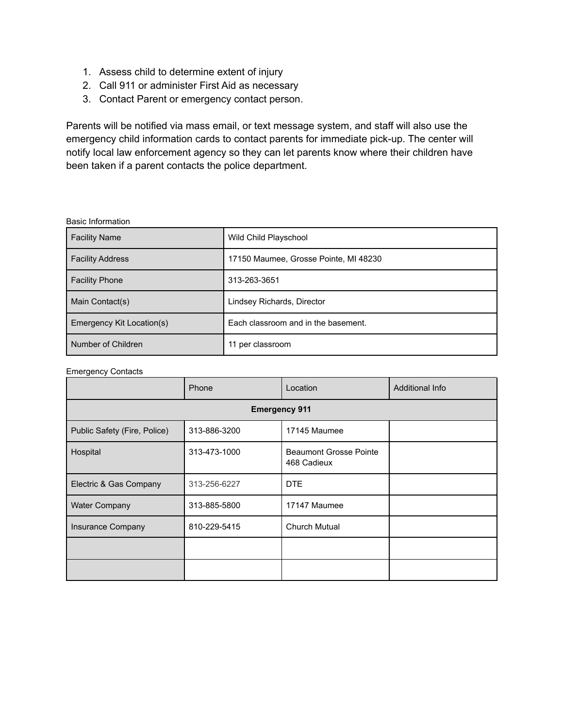- 1. Assess child to determine extent of injury
- 2. Call 911 or administer First Aid as necessary
- 3. Contact Parent or emergency contact person.

Parents will be notified via mass email, or text message system, and staff will also use the emergency child information cards to contact parents for immediate pick-up. The center will notify local law enforcement agency so they can let parents know where their children have been taken if a parent contacts the police department.

#### Basic Information

| <b>Facility Name</b>      | Wild Child Playschool                 |
|---------------------------|---------------------------------------|
| <b>Facility Address</b>   | 17150 Maumee, Grosse Pointe, MI 48230 |
| <b>Facility Phone</b>     | 313-263-3651                          |
| Main Contact(s)           | Lindsey Richards, Director            |
| Emergency Kit Location(s) | Each classroom and in the basement.   |
| Number of Children        | 11 per classroom                      |

#### Emergency Contacts

|                              | Phone        | Location                                     | Additional Info |  |  |
|------------------------------|--------------|----------------------------------------------|-----------------|--|--|
| <b>Emergency 911</b>         |              |                                              |                 |  |  |
| Public Safety (Fire, Police) | 313-886-3200 | 17145 Maumee                                 |                 |  |  |
| Hospital                     | 313-473-1000 | <b>Beaumont Grosse Pointe</b><br>468 Cadieux |                 |  |  |
| Electric & Gas Company       | 313-256-6227 | <b>DTE</b>                                   |                 |  |  |
| <b>Water Company</b>         | 313-885-5800 | 17147 Maumee                                 |                 |  |  |
| Insurance Company            | 810-229-5415 | <b>Church Mutual</b>                         |                 |  |  |
|                              |              |                                              |                 |  |  |
|                              |              |                                              |                 |  |  |